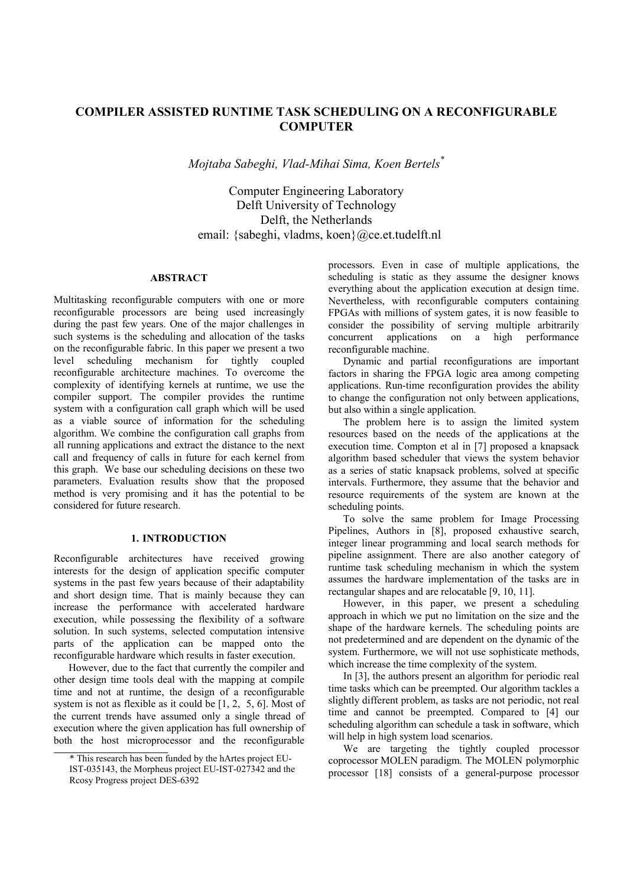# **COMPILER ASSISTED RUNTIME TASK SCHEDULING ON A RECONFIGURABLE COMPUTER**

*Mojtaba Sabeghi, Vlad-Mihai Sima, Koen Bertels\**

Computer Engineering Laboratory Delft University of Technology Delft, the Netherlands email: {sabeghi, vladms, koen}@ce.et.tudelft.nl

#### **ABSTRACT**

Multitasking reconfigurable computers with one or more reconfigurable processors are being used increasingly during the past few years. One of the major challenges in such systems is the scheduling and allocation of the tasks on the reconfigurable fabric. In this paper we present a two level scheduling mechanism for tightly coupled reconfigurable architecture machines. To overcome the complexity of identifying kernels at runtime, we use the compiler support. The compiler provides the runtime system with a configuration call graph which will be used as a viable source of information for the scheduling algorithm. We combine the configuration call graphs from all running applications and extract the distance to the next call and frequency of calls in future for each kernel from this graph. We base our scheduling decisions on these two parameters. Evaluation results show that the proposed method is very promising and it has the potential to be considered for future research.

# **1. INTRODUCTION**

Reconfigurable architectures have received growing interests for the design of application specific computer systems in the past few years because of their adaptability and short design time. That is mainly because they can increase the performance with accelerated hardware execution, while possessing the flexibility of a software solution. In such systems, selected computation intensive parts of the application can be mapped onto the reconfigurable hardware which results in faster execution.

However, due to the fact that currently the compiler and other design time tools deal with the mapping at compile time and not at runtime, the design of a reconfigurable system is not as flexible as it could be [1, 2, 5, 6]. Most of the current trends have assumed only a single thread of execution where the given application has full ownership of both the host microprocessor and the reconfigurable processors. Even in case of multiple applications, the scheduling is static as they assume the designer knows everything about the application execution at design time. Nevertheless, with reconfigurable computers containing FPGAs with millions of system gates, it is now feasible to consider the possibility of serving multiple arbitrarily concurrent applications on a high performance reconfigurable machine.

Dynamic and partial reconfigurations are important factors in sharing the FPGA logic area among competing applications. Run-time reconfiguration provides the ability to change the configuration not only between applications, but also within a single application.

The problem here is to assign the limited system resources based on the needs of the applications at the execution time. Compton et al in [7] proposed a knapsack algorithm based scheduler that views the system behavior as a series of static knapsack problems, solved at specific intervals. Furthermore, they assume that the behavior and resource requirements of the system are known at the scheduling points.

To solve the same problem for Image Processing Pipelines, Authors in [8], proposed exhaustive search, integer linear programming and local search methods for pipeline assignment. There are also another category of runtime task scheduling mechanism in which the system assumes the hardware implementation of the tasks are in rectangular shapes and are relocatable [9, 10, 11].

However, in this paper, we present a scheduling approach in which we put no limitation on the size and the shape of the hardware kernels. The scheduling points are not predetermined and are dependent on the dynamic of the system. Furthermore, we will not use sophisticate methods, which increase the time complexity of the system.

In [3], the authors present an algorithm for periodic real time tasks which can be preempted. Our algorithm tackles a slightly different problem, as tasks are not periodic, not real time and cannot be preempted. Compared to [4] our scheduling algorithm can schedule a task in software, which will help in high system load scenarios.

We are targeting the tightly coupled processor coprocessor MOLEN paradigm. The MOLEN polymorphic processor [18] consists of a general-purpose processor

<sup>\*</sup> This research has been funded by the hArtes project EU-

IST-035143, the Morpheus project EU-IST-027342 and the Rcosy Progress project DES-6392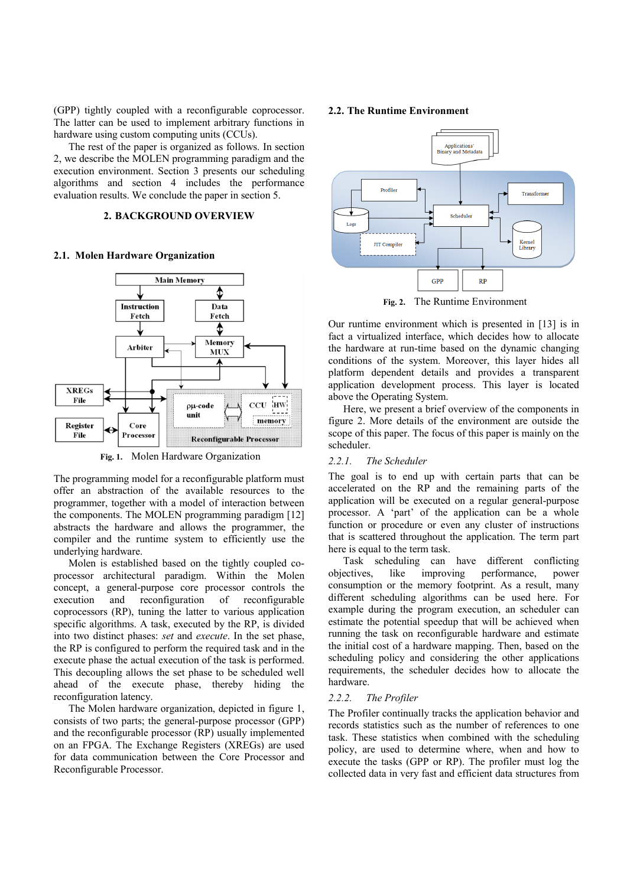(GPP) tightly coupled with a reconfigurable coprocessor. The latter can be used to implement arbitrary functions in hardware using custom computing units (CCUs).

The rest of the paper is organized as follows. In section 2, we describe the MOLEN programming paradigm and the execution environment. Section 3 presents our scheduling algorithms and section 4 includes the performance evaluation results. We conclude the paper in section 5.

## **2. BACKGROUND OVERVIEW**

#### **2.1. Molen Hardware Organization**



**Fig. 1.** Molen Hardware Organization

The programming model for a reconfigurable platform must offer an abstraction of the available resources to the programmer, together with a model of interaction between the components. The MOLEN programming paradigm [12] abstracts the hardware and allows the programmer, the compiler and the runtime system to efficiently use the underlying hardware.

Molen is established based on the tightly coupled coprocessor architectural paradigm. Within the Molen concept, a general-purpose core processor controls the execution and reconfiguration of reconfigurable coprocessors (RP), tuning the latter to various application specific algorithms. A task, executed by the RP, is divided into two distinct phases: *set* and *execute*. In the set phase, the RP is configured to perform the required task and in the execute phase the actual execution of the task is performed. This decoupling allows the set phase to be scheduled well ahead of the execute phase, thereby hiding the reconfiguration latency.

The Molen hardware organization, depicted in figure 1, consists of two parts; the general-purpose processor (GPP) and the reconfigurable processor (RP) usually implemented on an FPGA. The Exchange Registers (XREGs) are used for data communication between the Core Processor and Reconfigurable Processor.

### **2.2. The Runtime Environment**



**Fig. 2.** The Runtime Environment

Our runtime environment which is presented in [13] is in fact a virtualized interface, which decides how to allocate the hardware at run-time based on the dynamic changing conditions of the system. Moreover, this layer hides all platform dependent details and provides a transparent application development process. This layer is located above the Operating System.

Here, we present a brief overview of the components in figure 2. More details of the environment are outside the scope of this paper. The focus of this paper is mainly on the scheduler.

#### *2.2.1. The Scheduler*

The goal is to end up with certain parts that can be accelerated on the RP and the remaining parts of the application will be executed on a regular general-purpose processor. A 'part' of the application can be a whole function or procedure or even any cluster of instructions that is scattered throughout the application. The term part here is equal to the term task.

Task scheduling can have different conflicting objectives, like improving performance, power consumption or the memory footprint. As a result, many different scheduling algorithms can be used here. For example during the program execution, an scheduler can estimate the potential speedup that will be achieved when running the task on reconfigurable hardware and estimate the initial cost of a hardware mapping. Then, based on the scheduling policy and considering the other applications requirements, the scheduler decides how to allocate the hardware.

# *2.2.2. The Profiler*

The Profiler continually tracks the application behavior and records statistics such as the number of references to one task. These statistics when combined with the scheduling policy, are used to determine where, when and how to execute the tasks (GPP or RP). The profiler must log the collected data in very fast and efficient data structures from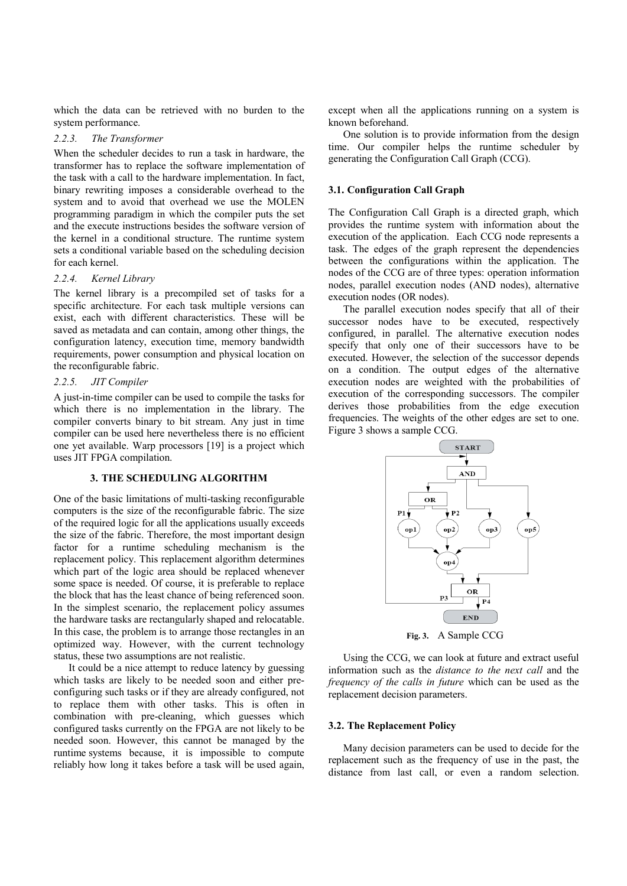which the data can be retrieved with no burden to the system performance.

#### *2.2.3. The Transformer*

When the scheduler decides to run a task in hardware, the transformer has to replace the software implementation of the task with a call to the hardware implementation. In fact, binary rewriting imposes a considerable overhead to the system and to avoid that overhead we use the MOLEN programming paradigm in which the compiler puts the set and the execute instructions besides the software version of the kernel in a conditional structure. The runtime system sets a conditional variable based on the scheduling decision for each kernel.

#### *2.2.4. Kernel Library*

The kernel library is a precompiled set of tasks for a specific architecture. For each task multiple versions can exist, each with different characteristics. These will be saved as metadata and can contain, among other things, the configuration latency, execution time, memory bandwidth requirements, power consumption and physical location on the reconfigurable fabric.

#### *2.2.5. JIT Compiler*

A just-in-time compiler can be used to compile the tasks for which there is no implementation in the library. The compiler converts binary to bit stream. Any just in time compiler can be used here nevertheless there is no efficient one yet available. Warp processors [19] is a project which uses JIT FPGA compilation.

# **3. THE SCHEDULING ALGORITHM**

One of the basic limitations of multi-tasking reconfigurable computers is the size of the reconfigurable fabric. The size of the required logic for all the applications usually exceeds the size of the fabric. Therefore, the most important design factor for a runtime scheduling mechanism is the replacement policy. This replacement algorithm determines which part of the logic area should be replaced whenever some space is needed. Of course, it is preferable to replace the block that has the least chance of being referenced soon. In the simplest scenario, the replacement policy assumes the hardware tasks are rectangularly shaped and relocatable. In this case, the problem is to arrange those rectangles in an optimized way. However, with the current technology status, these two assumptions are not realistic.

It could be a nice attempt to reduce latency by guessing which tasks are likely to be needed soon and either preconfiguring such tasks or if they are already configured, not to replace them with other tasks. This is often in combination with pre-cleaning, which guesses which configured tasks currently on the FPGA are not likely to be needed soon. However, this cannot be managed by the runtime systems because, it is impossible to compute reliably how long it takes before a task will be used again,

except when all the applications running on a system is known beforehand.

One solution is to provide information from the design time. Our compiler helps the runtime scheduler by generating the Configuration Call Graph (CCG).

# **3.1. Configuration Call Graph**

The Configuration Call Graph is a directed graph, which provides the runtime system with information about the execution of the application. Each CCG node represents a task. The edges of the graph represent the dependencies between the configurations within the application. The nodes of the CCG are of three types: operation information nodes, parallel execution nodes (AND nodes), alternative execution nodes (OR nodes).

The parallel execution nodes specify that all of their successor nodes have to be executed, respectively configured, in parallel. The alternative execution nodes specify that only one of their successors have to be executed. However, the selection of the successor depends on a condition. The output edges of the alternative execution nodes are weighted with the probabilities of execution of the corresponding successors. The compiler derives those probabilities from the edge execution frequencies. The weights of the other edges are set to one. Figure 3 shows a sample CCG.



**Fig. 3.** A Sample CCG

Using the CCG, we can look at future and extract useful information such as the *distance to the next call* and the *frequency of the calls in future* which can be used as the replacement decision parameters.

#### **3.2. The Replacement Policy**

Many decision parameters can be used to decide for the replacement such as the frequency of use in the past, the distance from last call, or even a random selection.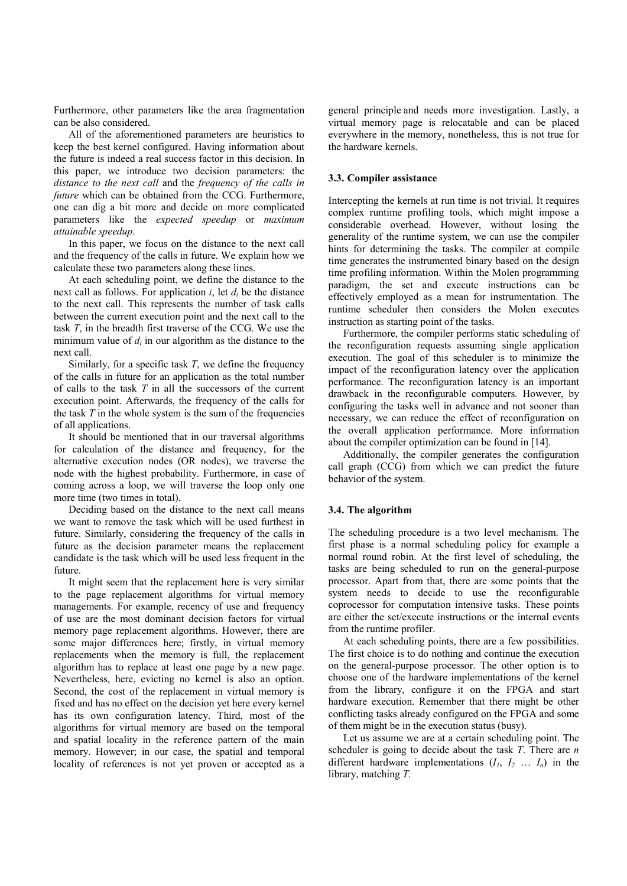Furthermore, other parameters like the area fragmentation can be also considered.

All of the aforementioned parameters are heuristics to keep the best kernel configured. Having information about the future is indeed a real success factor in this decision. In this paper, we introduce two decision parameters: the *distance to the next call* and the *frequency of the calls in future* which can be obtained from the CCG. Furthermore, one can dig a bit more and decide on more complicated parameters like the *expected speedup* or *maximum attainable speedup*.

In this paper, we focus on the distance to the next call and the frequency of the calls in future. We explain how we calculate these two parameters along these lines.

At each scheduling point, we define the distance to the next call as follows. For application  $i$ , let  $d_i$  be the distance to the next call. This represents the number of task calls between the current execution point and the next call to the task *T*, in the breadth first traverse of the CCG. We use the minimum value of *di* in our algorithm as the distance to the next call.

Similarly, for a specific task *T*, we define the frequency of the calls in future for an application as the total number of calls to the task *T* in all the successors of the current execution point. Afterwards, the frequency of the calls for the task *T* in the whole system is the sum of the frequencies of all applications.

It should be mentioned that in our traversal algorithms for calculation of the distance and frequency, for the alternative execution nodes (OR nodes), we traverse the node with the highest probability. Furthermore, in case of coming across a loop, we will traverse the loop only one more time (two times in total).

Deciding based on the distance to the next call means we want to remove the task which will be used furthest in future. Similarly, considering the frequency of the calls in future as the decision parameter means the replacement candidate is the task which will be used less frequent in the future.

It might seem that the replacement here is very similar to the page replacement algorithms for virtual memory managements. For example, recency of use and frequency of use are the most dominant decision factors for virtual memory page replacement algorithms. However, there are some major differences here; firstly, in virtual memory replacements when the memory is full, the replacement algorithm has to replace at least one page by a new page. Nevertheless, here, evicting no kernel is also an option. Second, the cost of the replacement in virtual memory is fixed and has no effect on the decision yet here every kernel has its own configuration latency. Third, most of the algorithms for virtual memory are based on the temporal and spatial locality in the reference pattern of the main memory. However; in our case, the spatial and temporal locality of references is not yet proven or accepted as a

general principle and needs more investigation. Lastly, a virtual memory page is relocatable and can be placed everywhere in the memory, nonetheless, this is not true for the hardware kernels.

## **3.3. Compiler assistance**

Intercepting the kernels at run time is not trivial. It requires complex runtime profiling tools, which might impose a considerable overhead. However, without losing the generality of the runtime system, we can use the compiler hints for determining the tasks. The compiler at compile time generates the instrumented binary based on the design time profiling information. Within the Molen programming paradigm, the set and execute instructions can be effectively employed as a mean for instrumentation. The runtime scheduler then considers the Molen executes instruction as starting point of the tasks.

Furthermore, the compiler performs static scheduling of the reconfiguration requests assuming single application execution. The goal of this scheduler is to minimize the impact of the reconfiguration latency over the application performance. The reconfiguration latency is an important drawback in the reconfigurable computers. However, by configuring the tasks well in advance and not sooner than necessary, we can reduce the effect of reconfiguration on the overall application performance. More information about the compiler optimization can be found in [14].

Additionally, the compiler generates the configuration call graph (CCG) from which we can predict the future behavior of the system.

# **3.4. The algorithm**

The scheduling procedure is a two level mechanism. The first phase is a normal scheduling policy for example a normal round robin. At the first level of scheduling, the tasks are being scheduled to run on the general-purpose processor. Apart from that, there are some points that the system needs to decide to use the reconfigurable coprocessor for computation intensive tasks. These points are either the set/execute instructions or the internal events from the runtime profiler.

At each scheduling points, there are a few possibilities. The first choice is to do nothing and continue the execution on the general-purpose processor. The other option is to choose one of the hardware implementations of the kernel from the library, configure it on the FPGA and start hardware execution. Remember that there might be other conflicting tasks already configured on the FPGA and some of them might be in the execution status (busy).

Let us assume we are at a certain scheduling point. The scheduler is going to decide about the task *T*. There are *n* different hardware implementations  $(I_1, I_2, \ldots, I_n)$  in the library, matching *T*.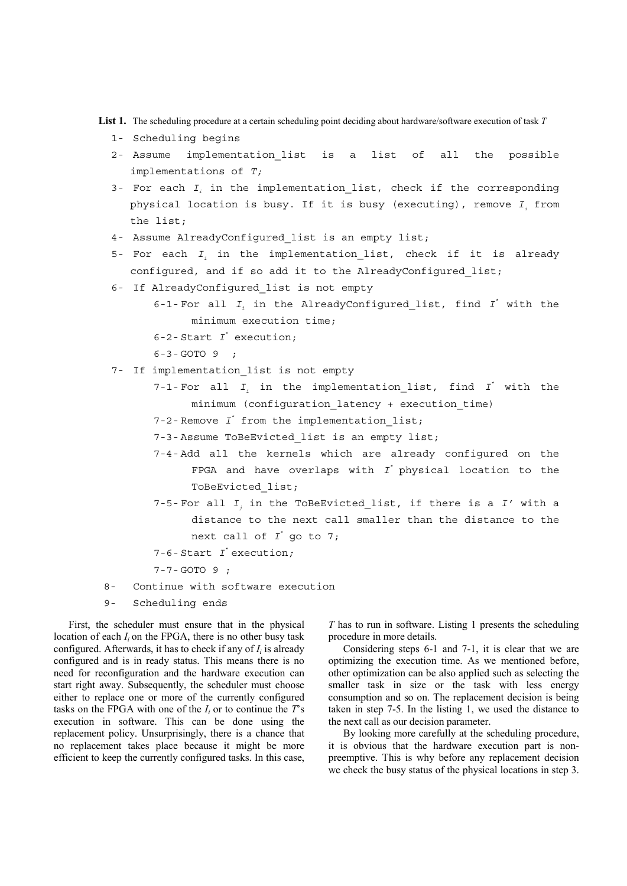List 1. The scheduling procedure at a certain scheduling point deciding about hardware/software execution of task *T* 

- 1- Scheduling begins
- 2- Assume implementation\_list is a list of all the possible implementations of *T;*
- 3- For each *Ii* in the implementation\_list, check if the corresponding physical location is busy. If it is busy (executing), remove *Ii* from the list;
- 4- Assume AlreadyConfigured\_list is an empty list;
- 5- For each *I<sub>i</sub>* in the implementation list, check if it is already configured, and if so add it to the AlreadyConfigured\_list;
- 6- If AlreadyConfigured\_list is not empty
	- 6-1- For all *Ii* in the AlreadyConfigured\_list, find *I\** with the minimum execution time;
	- 6-2- Start *I\** execution;

6-3- GOTO 9 ;

- 7- If implementation\_list is not empty
	- 7-1- For all *Ii* in the implementation\_list, find *I\** with the minimum (configuration\_latency + execution\_time)
	- 7-2- Remove *I\** from the implementation\_list;
	- 7-3- Assume ToBeEvicted\_list is an empty list;
	- 7-4- Add all the kernels which are already configured on the FPGA and have overlaps with *I\** physical location to the ToBeEvicted\_list;
	- 7-5- For all *Ij* in the ToBeEvicted\_list, if there is a *I'* with a distance to the next call smaller than the distance to the next call of *I\** go to 7;
	- 7-6- Start *I\** execution*;*
	- 7-7- GOTO 9 ;
- 8- Continue with software execution
- 9- Scheduling ends

First, the scheduler must ensure that in the physical location of each  $I_i$  on the FPGA, there is no other busy task configured. Afterwards, it has to check if any of  $I_i$  is already configured and is in ready status. This means there is no need for reconfiguration and the hardware execution can start right away. Subsequently, the scheduler must choose either to replace one or more of the currently configured tasks on the FPGA with one of the  $I_i$  or to continue the  $T$ 's execution in software. This can be done using the replacement policy. Unsurprisingly, there is a chance that no replacement takes place because it might be more efficient to keep the currently configured tasks. In this case,

*T* has to run in software. Listing 1 presents the scheduling procedure in more details.

Considering steps 6-1 and 7-1, it is clear that we are optimizing the execution time. As we mentioned before, other optimization can be also applied such as selecting the smaller task in size or the task with less energy consumption and so on. The replacement decision is being taken in step 7-5. In the listing 1, we used the distance to the next call as our decision parameter.

By looking more carefully at the scheduling procedure, it is obvious that the hardware execution part is nonpreemptive. This is why before any replacement decision we check the busy status of the physical locations in step 3.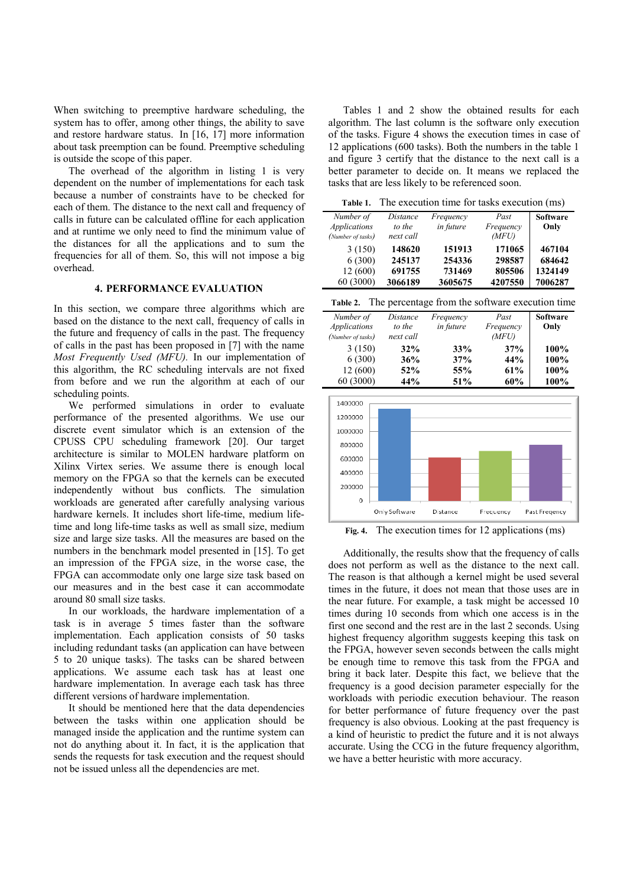When switching to preemptive hardware scheduling, the system has to offer, among other things, the ability to save and restore hardware status. In [16, 17] more information about task preemption can be found. Preemptive scheduling is outside the scope of this paper.

The overhead of the algorithm in listing 1 is very dependent on the number of implementations for each task because a number of constraints have to be checked for each of them. The distance to the next call and frequency of calls in future can be calculated offline for each application and at runtime we only need to find the minimum value of the distances for all the applications and to sum the frequencies for all of them. So, this will not impose a big overhead.

#### **4. PERFORMANCE EVALUATION**

In this section, we compare three algorithms which are based on the distance to the next call, frequency of calls in the future and frequency of calls in the past. The frequency of calls in the past has been proposed in [7] with the name *Most Frequently Used (MFU).* In our implementation of this algorithm, the RC scheduling intervals are not fixed from before and we run the algorithm at each of our scheduling points.

We performed simulations in order to evaluate performance of the presented algorithms. We use our discrete event simulator which is an extension of the CPUSS CPU scheduling framework [20]. Our target architecture is similar to MOLEN hardware platform on Xilinx Virtex series. We assume there is enough local memory on the FPGA so that the kernels can be executed independently without bus conflicts. The simulation workloads are generated after carefully analysing various hardware kernels. It includes short life-time, medium lifetime and long life-time tasks as well as small size, medium size and large size tasks. All the measures are based on the numbers in the benchmark model presented in [15]. To get an impression of the FPGA size, in the worse case, the FPGA can accommodate only one large size task based on our measures and in the best case it can accommodate around 80 small size tasks.

In our workloads, the hardware implementation of a task is in average 5 times faster than the software implementation. Each application consists of 50 tasks including redundant tasks (an application can have between 5 to 20 unique tasks). The tasks can be shared between applications. We assume each task has at least one hardware implementation. In average each task has three different versions of hardware implementation.

It should be mentioned here that the data dependencies between the tasks within one application should be managed inside the application and the runtime system can not do anything about it. In fact, it is the application that sends the requests for task execution and the request should not be issued unless all the dependencies are met.

Tables 1 and 2 show the obtained results for each algorithm. The last column is the software only execution of the tasks. Figure 4 shows the execution times in case of 12 applications (600 tasks). Both the numbers in the table 1 and figure 3 certify that the distance to the next call is a better parameter to decide on. It means we replaced the tasks that are less likely to be referenced soon.

**Table 1.** The execution time for tasks execution (ms)

| Number of<br><i>Applications</i><br>(Number of tasks) | Distance<br>to the<br>next call | Frequency<br>in future | Past<br>Frequency<br>(MFU) | <b>Software</b><br>Only |
|-------------------------------------------------------|---------------------------------|------------------------|----------------------------|-------------------------|
| 3(150)                                                | 148620                          | 151913                 | 171065                     | 467104                  |
| 6(300)                                                | 245137                          | 254336                 | 298587                     | 684642                  |
| 12(600)                                               | 691755                          | 731469                 | 805506                     | 1324149                 |
| 60 (3000)                                             | 3066189                         | 3605675                | 4207550                    | 7006287                 |
|                                                       |                                 |                        |                            |                         |

| Table 2. | The percentage from the software execution time |  |  |
|----------|-------------------------------------------------|--|--|
|          |                                                 |  |  |

| Number of<br><i>Applications</i><br>(Number of tasks) | Distance<br>to the<br>next call | Frequency<br>in future | Past<br>Frequency<br>(MFU) | <b>Software</b><br>Only |
|-------------------------------------------------------|---------------------------------|------------------------|----------------------------|-------------------------|
| 3(150)                                                | 32%                             | 33%                    | 37%                        | 100%                    |
| 6(300)                                                | 36%                             | 37%                    | 44%                        | 100%                    |
| 12(600)                                               | 52%                             | 55%                    | 61%                        | 100%                    |
| 60 (3000)                                             | 44%                             | 51%                    | 60%                        | 100%                    |



**Fig. 4.** The execution times for 12 applications (ms)

Additionally, the results show that the frequency of calls does not perform as well as the distance to the next call. The reason is that although a kernel might be used several times in the future, it does not mean that those uses are in the near future. For example, a task might be accessed 10 times during 10 seconds from which one access is in the first one second and the rest are in the last 2 seconds. Using highest frequency algorithm suggests keeping this task on the FPGA, however seven seconds between the calls might be enough time to remove this task from the FPGA and bring it back later. Despite this fact, we believe that the frequency is a good decision parameter especially for the workloads with periodic execution behaviour. The reason for better performance of future frequency over the past frequency is also obvious. Looking at the past frequency is a kind of heuristic to predict the future and it is not always accurate. Using the CCG in the future frequency algorithm, we have a better heuristic with more accuracy.